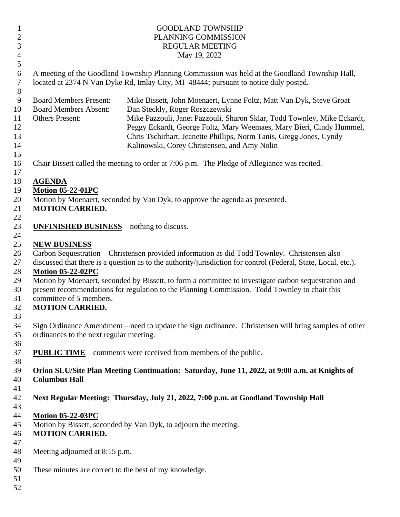| $\mathbf{1}$              | <b>GOODLAND TOWNSHIP</b>                                                                                                                                                               |                                                                                                                                                                                                                                                                                                                                  |  |
|---------------------------|----------------------------------------------------------------------------------------------------------------------------------------------------------------------------------------|----------------------------------------------------------------------------------------------------------------------------------------------------------------------------------------------------------------------------------------------------------------------------------------------------------------------------------|--|
| $\sqrt{2}$                | PLANNING COMMISSION                                                                                                                                                                    |                                                                                                                                                                                                                                                                                                                                  |  |
| $\mathfrak{Z}$            | <b>REGULAR MEETING</b>                                                                                                                                                                 |                                                                                                                                                                                                                                                                                                                                  |  |
| $\overline{4}$            | May 19, 2022                                                                                                                                                                           |                                                                                                                                                                                                                                                                                                                                  |  |
| 5                         |                                                                                                                                                                                        |                                                                                                                                                                                                                                                                                                                                  |  |
| 6<br>$\overline{7}$<br>8  | A meeting of the Goodland Township Planning Commission was held at the Goodland Township Hall,<br>located at 2374 N Van Dyke Rd, Imlay City, MI 48444; pursuant to notice duly posted. |                                                                                                                                                                                                                                                                                                                                  |  |
| 9<br>10<br>11<br>12<br>13 | <b>Board Members Present:</b><br><b>Board Members Absent:</b><br><b>Others Present:</b>                                                                                                | Mike Bissett, John Moenaert, Lynne Foltz, Matt Van Dyk, Steve Groat<br>Dan Steckly, Roger Roszczewski<br>Mike Pazzouli, Janet Pazzouli, Sharon Sklar, Todd Townley, Mike Eckardt,<br>Peggy Eckardt, George Foltz, Mary Weemaes, Mary Bieri, Cindy Hummel,<br>Chris Tschirhart, Jeanette Phillips, Norm Tanis, Gregg Jones, Cyndy |  |
| 14                        |                                                                                                                                                                                        | Kalinowski, Corey Christensen, and Amy Nolin                                                                                                                                                                                                                                                                                     |  |
| 15<br>16<br>17            |                                                                                                                                                                                        | Chair Bissett called the meeting to order at 7:06 p.m. The Pledge of Allegiance was recited.                                                                                                                                                                                                                                     |  |
| 18                        | <b>AGENDA</b>                                                                                                                                                                          |                                                                                                                                                                                                                                                                                                                                  |  |
| 19                        | <b>Motion 05-22-01PC</b>                                                                                                                                                               |                                                                                                                                                                                                                                                                                                                                  |  |
| 20                        |                                                                                                                                                                                        | Motion by Moenaert, seconded by Van Dyk, to approve the agenda as presented.                                                                                                                                                                                                                                                     |  |
| 21                        | <b>MOTION CARRIED.</b>                                                                                                                                                                 |                                                                                                                                                                                                                                                                                                                                  |  |
| 22                        |                                                                                                                                                                                        |                                                                                                                                                                                                                                                                                                                                  |  |
| 23                        | <b>UNFINISHED BUSINESS</b> —nothing to discuss.                                                                                                                                        |                                                                                                                                                                                                                                                                                                                                  |  |
| 24                        |                                                                                                                                                                                        |                                                                                                                                                                                                                                                                                                                                  |  |
| 25                        | <b>NEW BUSINESS</b>                                                                                                                                                                    |                                                                                                                                                                                                                                                                                                                                  |  |
| 26                        | Carbon Sequestration—Christensen provided information as did Todd Townley. Christensen also                                                                                            |                                                                                                                                                                                                                                                                                                                                  |  |
| 27                        |                                                                                                                                                                                        | discussed that there is a question as to the authority/jurisdiction for control (Federal, State, Local, etc.).                                                                                                                                                                                                                   |  |
| 28                        | <b>Motion 05-22-02PC</b>                                                                                                                                                               |                                                                                                                                                                                                                                                                                                                                  |  |
| 29                        | Motion by Moenaert, seconded by Bissett, to form a committee to investigate carbon sequestration and                                                                                   |                                                                                                                                                                                                                                                                                                                                  |  |
| 30                        |                                                                                                                                                                                        | present recommendations for regulation to the Planning Commission. Todd Townley to chair this                                                                                                                                                                                                                                    |  |
| 31                        | committee of 5 members.                                                                                                                                                                |                                                                                                                                                                                                                                                                                                                                  |  |
| 32                        | <b>MOTION CARRIED.</b>                                                                                                                                                                 |                                                                                                                                                                                                                                                                                                                                  |  |
| 33                        |                                                                                                                                                                                        |                                                                                                                                                                                                                                                                                                                                  |  |
| 34                        | Sign Ordinance Amendment—need to update the sign ordinance. Christensen will bring samples of other                                                                                    |                                                                                                                                                                                                                                                                                                                                  |  |
| 35                        | ordinances to the next regular meeting.                                                                                                                                                |                                                                                                                                                                                                                                                                                                                                  |  |
| 36                        |                                                                                                                                                                                        |                                                                                                                                                                                                                                                                                                                                  |  |
| 37                        |                                                                                                                                                                                        | <b>PUBLIC TIME—comments were received from members of the public.</b>                                                                                                                                                                                                                                                            |  |
| 38                        |                                                                                                                                                                                        |                                                                                                                                                                                                                                                                                                                                  |  |
| 39                        |                                                                                                                                                                                        | Orion SLU/Site Plan Meeting Continuation: Saturday, June 11, 2022, at 9:00 a.m. at Knights of                                                                                                                                                                                                                                    |  |
| 40                        | <b>Columbus Hall</b>                                                                                                                                                                   |                                                                                                                                                                                                                                                                                                                                  |  |
| 41                        |                                                                                                                                                                                        |                                                                                                                                                                                                                                                                                                                                  |  |
| 42                        |                                                                                                                                                                                        | Next Regular Meeting: Thursday, July 21, 2022, 7:00 p.m. at Goodland Township Hall                                                                                                                                                                                                                                               |  |
| 43                        |                                                                                                                                                                                        |                                                                                                                                                                                                                                                                                                                                  |  |
| 44                        | <b>Motion 05-22-03PC</b>                                                                                                                                                               |                                                                                                                                                                                                                                                                                                                                  |  |
| 45                        | <b>MOTION CARRIED.</b>                                                                                                                                                                 | Motion by Bissett, seconded by Van Dyk, to adjourn the meeting.                                                                                                                                                                                                                                                                  |  |
| 46                        |                                                                                                                                                                                        |                                                                                                                                                                                                                                                                                                                                  |  |
| 47                        |                                                                                                                                                                                        |                                                                                                                                                                                                                                                                                                                                  |  |
| 48<br>49                  | Meeting adjourned at 8:15 p.m.                                                                                                                                                         |                                                                                                                                                                                                                                                                                                                                  |  |
| 50                        |                                                                                                                                                                                        |                                                                                                                                                                                                                                                                                                                                  |  |
| 51                        | These minutes are correct to the best of my knowledge.                                                                                                                                 |                                                                                                                                                                                                                                                                                                                                  |  |
| 52                        |                                                                                                                                                                                        |                                                                                                                                                                                                                                                                                                                                  |  |
|                           |                                                                                                                                                                                        |                                                                                                                                                                                                                                                                                                                                  |  |
|                           |                                                                                                                                                                                        |                                                                                                                                                                                                                                                                                                                                  |  |